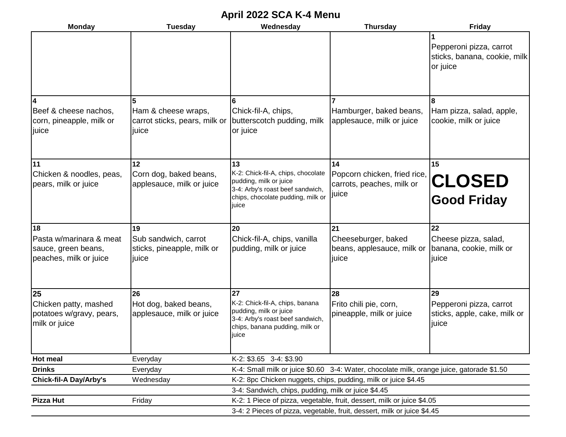## **April 2022 SCA K-4 Menu**

| <b>Monday</b>                                                                                                       | <b>Tuesday</b>                                                          | Wednesday                                                                                                                                            | <b>Thursday</b>                                                                           | Friday                                                                 |  |  |  |
|---------------------------------------------------------------------------------------------------------------------|-------------------------------------------------------------------------|------------------------------------------------------------------------------------------------------------------------------------------------------|-------------------------------------------------------------------------------------------|------------------------------------------------------------------------|--|--|--|
|                                                                                                                     |                                                                         |                                                                                                                                                      |                                                                                           | Pepperoni pizza, carrot<br>sticks, banana, cookie, milk<br>or juice    |  |  |  |
| Beef & cheese nachos,<br>corn, pineapple, milk or<br>juice                                                          | Ham & cheese wraps,<br>carrot sticks, pears, milk or<br>juice           | <sup>6</sup><br>Chick-fil-A, chips,<br>butterscotch pudding, milk<br>or juice                                                                        | Hamburger, baked beans,<br>applesauce, milk or juice                                      | R<br>Ham pizza, salad, apple,<br>cookie, milk or juice                 |  |  |  |
| 11<br>12<br>Chicken & noodles, peas,<br>Corn dog, baked beans,<br>pears, milk or juice<br>applesauce, milk or juice |                                                                         | 13<br>K-2: Chick-fil-A, chips, chocolate<br>pudding, milk or juice<br>3-4: Arby's roast beef sandwich,<br>chips, chocolate pudding, milk or<br>iuice | 14<br>Popcorn chicken, fried rice,<br>carrots, peaches, milk or<br>juice                  | 15<br><b>CLOSED</b><br><b>Good Friday</b>                              |  |  |  |
| 18<br>Pasta w/marinara & meat<br>sauce, green beans,<br>peaches, milk or juice                                      | 19<br>Sub sandwich, carrot<br>sticks, pineapple, milk or<br>juice       | 20<br>Chick-fil-A, chips, vanilla<br>pudding, milk or juice                                                                                          | 21<br>Cheeseburger, baked<br>beans, applesauce, milk or<br>juice                          | 22<br>Cheese pizza, salad,<br>banana, cookie, milk or<br>juice         |  |  |  |
| 25<br>Chicken patty, mashed<br>potatoes w/gravy, pears,<br>milk or juice                                            | 26<br>Hot dog, baked beans,<br>applesauce, milk or juice                | 27<br>K-2: Chick-fil-A, chips, banana<br>pudding, milk or juice<br>3-4: Arby's roast beef sandwich,<br>chips, banana pudding, milk or<br>juice       | 28<br>Frito chili pie, corn,<br>pineapple, milk or juice                                  | 29<br>Pepperoni pizza, carrot<br>sticks, apple, cake, milk or<br>juice |  |  |  |
| Hot meal                                                                                                            | Everyday                                                                | K-2: \$3.65 3-4: \$3.90                                                                                                                              |                                                                                           |                                                                        |  |  |  |
| <b>Drinks</b>                                                                                                       | Everyday                                                                |                                                                                                                                                      | K-4: Small milk or juice \$0.60 3-4: Water, chocolate milk, orange juice, gatorade \$1.50 |                                                                        |  |  |  |
| <b>Chick-fil-A Day/Arby's</b>                                                                                       | Wednesday                                                               |                                                                                                                                                      | K-2: 8pc Chicken nuggets, chips, pudding, milk or juice \$4.45                            |                                                                        |  |  |  |
|                                                                                                                     |                                                                         | 3-4: Sandwich, chips, pudding, milk or juice \$4.45                                                                                                  |                                                                                           |                                                                        |  |  |  |
| <b>Pizza Hut</b>                                                                                                    | Friday                                                                  |                                                                                                                                                      | K-2: 1 Piece of pizza, vegetable, fruit, dessert, milk or juice \$4.05                    |                                                                        |  |  |  |
|                                                                                                                     | 3-4: 2 Pieces of pizza, vegetable, fruit, dessert, milk or juice \$4.45 |                                                                                                                                                      |                                                                                           |                                                                        |  |  |  |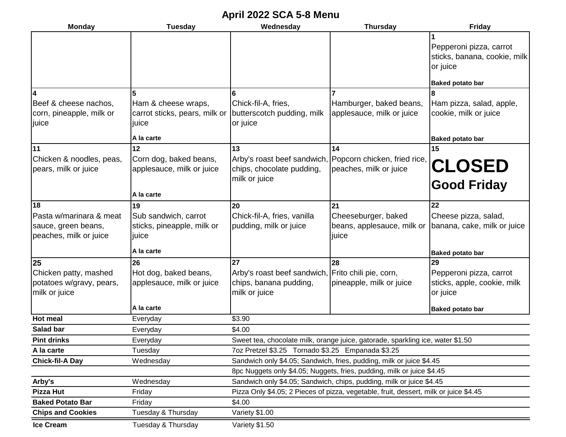## **April 2022 SCA 5-8 Menu**

| <b>Monday</b>                                                            | <b>Tuesday</b>                                                      | Wednesday                                                                                     | <b>Thursday</b>                                                                       | <b>Friday</b>                                                                                  |  |  |  |
|--------------------------------------------------------------------------|---------------------------------------------------------------------|-----------------------------------------------------------------------------------------------|---------------------------------------------------------------------------------------|------------------------------------------------------------------------------------------------|--|--|--|
|                                                                          |                                                                     |                                                                                               |                                                                                       | Pepperoni pizza, carrot<br>sticks, banana, cookie, milk<br>or juice<br><b>Baked potato bar</b> |  |  |  |
|                                                                          | 5                                                                   |                                                                                               |                                                                                       |                                                                                                |  |  |  |
| Beef & cheese nachos,<br>corn, pineapple, milk or<br>juice               | Ham & cheese wraps,<br>carrot sticks, pears, milk or<br>juice       | Chick-fil-A, fries,<br>butterscotch pudding, milk<br>or juice                                 | Hamburger, baked beans,<br>applesauce, milk or juice                                  | Ham pizza, salad, apple,<br>cookie, milk or juice                                              |  |  |  |
|                                                                          | A la carte                                                          |                                                                                               |                                                                                       | <b>Baked potato bar</b>                                                                        |  |  |  |
| 11                                                                       | 12                                                                  | 13                                                                                            | 14                                                                                    | 15                                                                                             |  |  |  |
| Chicken & noodles, peas,<br>pears, milk or juice                         | Corn dog, baked beans,<br>applesauce, milk or juice                 | chips, chocolate pudding,                                                                     | Arby's roast beef sandwich, Popcorn chicken, fried rice,<br>peaches, milk or juice    | <b>CLOSED</b>                                                                                  |  |  |  |
|                                                                          | A la carte                                                          | milk or juice                                                                                 |                                                                                       | <b>Good Friday</b>                                                                             |  |  |  |
| 18                                                                       | 19                                                                  | 20                                                                                            | 21                                                                                    | 22                                                                                             |  |  |  |
| Pasta w/marinara & meat<br>sauce, green beans,<br>peaches, milk or juice | Sub sandwich, carrot<br>sticks, pineapple, milk or<br><b>liuice</b> | Chick-fil-A, fries, vanilla<br>pudding, milk or juice                                         | Cheeseburger, baked<br>beans, applesauce, milk or<br>juice                            | Cheese pizza, salad,<br>banana, cake, milk or juice                                            |  |  |  |
|                                                                          | A la carte                                                          |                                                                                               |                                                                                       | <b>Baked potato bar</b>                                                                        |  |  |  |
| 25                                                                       | 26                                                                  | 27                                                                                            | 28                                                                                    | 29                                                                                             |  |  |  |
| Chicken patty, mashed<br>potatoes w/gravy, pears,<br>milk or juice       | Hot dog, baked beans,<br>applesauce, milk or juice                  | Arby's roast beef sandwich, Frito chili pie, corn,<br>chips, banana pudding,<br>milk or juice | pineapple, milk or juice                                                              | Pepperoni pizza, carrot<br>sticks, apple, cookie, milk<br>or juice                             |  |  |  |
|                                                                          | A la carte                                                          |                                                                                               |                                                                                       | <b>Baked potato bar</b>                                                                        |  |  |  |
| <b>Hot meal</b>                                                          | Everyday                                                            | \$3.90                                                                                        |                                                                                       |                                                                                                |  |  |  |
| Salad bar                                                                | Everyday                                                            | \$4.00                                                                                        |                                                                                       |                                                                                                |  |  |  |
| <b>Pint drinks</b>                                                       | Everyday                                                            |                                                                                               | Sweet tea, chocolate milk, orange juice, gatorade, sparkling ice, water \$1.50        |                                                                                                |  |  |  |
| A la carte                                                               | Tuesday                                                             | 7oz Pretzel \$3.25 Tornado \$3.25 Empanada \$3.25                                             |                                                                                       |                                                                                                |  |  |  |
| <b>Chick-fil-A Day</b>                                                   | Wednesday                                                           |                                                                                               | Sandwich only \$4.05; Sandwich, fries, pudding, milk or juice \$4.45                  |                                                                                                |  |  |  |
|                                                                          |                                                                     |                                                                                               | 8pc Nuggets only \$4.05; Nuggets, fries, pudding, milk or juice \$4.45                |                                                                                                |  |  |  |
| Arby's                                                                   | Wednesday                                                           |                                                                                               | Sandwich only \$4.05; Sandwich, chips, pudding, milk or juice \$4.45                  |                                                                                                |  |  |  |
| <b>Pizza Hut</b>                                                         | Friday                                                              |                                                                                               | Pizza Only \$4.05; 2 Pieces of pizza, vegetable, fruit, dessert, milk or juice \$4.45 |                                                                                                |  |  |  |
| <b>Baked Potato Bar</b>                                                  | Friday                                                              | \$4.00                                                                                        |                                                                                       |                                                                                                |  |  |  |
| <b>Chips and Cookies</b>                                                 | Tuesday & Thursday                                                  | Variety \$1.00                                                                                |                                                                                       |                                                                                                |  |  |  |
| <b>Ice Cream</b>                                                         | Tuesday & Thursday                                                  | Variety \$1.50                                                                                |                                                                                       |                                                                                                |  |  |  |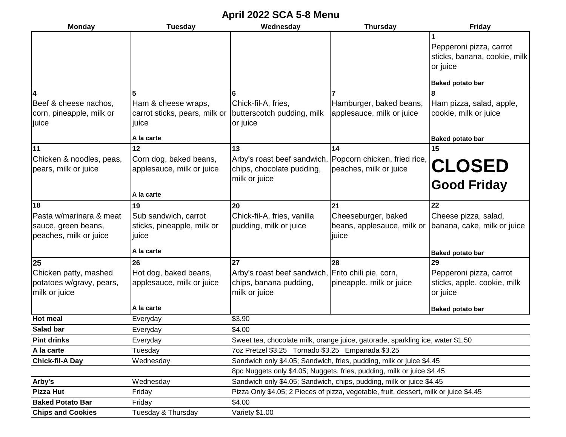## **April 2022 SCA 5-8 Menu**

| <b>Monday</b>                                                                  | <b>Tuesday</b>                                                              | Wednesday                                                                                                                                      | <b>Thursday</b>                                                                       | <b>Friday</b>                                                                |  |  |  |
|--------------------------------------------------------------------------------|-----------------------------------------------------------------------------|------------------------------------------------------------------------------------------------------------------------------------------------|---------------------------------------------------------------------------------------|------------------------------------------------------------------------------|--|--|--|
|                                                                                |                                                                             |                                                                                                                                                |                                                                                       | Pepperoni pizza, carrot<br>sticks, banana, cookie, milk<br>or juice          |  |  |  |
|                                                                                |                                                                             |                                                                                                                                                |                                                                                       | <b>Baked potato bar</b>                                                      |  |  |  |
| Beef & cheese nachos,<br>corn, pineapple, milk or<br>ljuice                    | Ham & cheese wraps,<br>carrot sticks, pears, milk or<br>juice<br>A la carte | 6<br>Chick-fil-A, fries,<br>butterscotch pudding, milk<br>or juice                                                                             | Hamburger, baked beans,<br>applesauce, milk or juice                                  | Ham pizza, salad, apple,<br>cookie, milk or juice<br><b>Baked potato bar</b> |  |  |  |
| 11                                                                             | 12                                                                          | 13                                                                                                                                             | 14                                                                                    | 15                                                                           |  |  |  |
| Chicken & noodles, peas,<br>pears, milk or juice                               | Corn dog, baked beans,<br>applesauce, milk or juice                         | chips, chocolate pudding,<br>milk or juice                                                                                                     | Arby's roast beef sandwich, Popcorn chicken, fried rice,<br>peaches, milk or juice    | CLOSED                                                                       |  |  |  |
|                                                                                | A la carte                                                                  |                                                                                                                                                |                                                                                       | <b>Good Friday</b>                                                           |  |  |  |
| 18<br>Pasta w/marinara & meat<br>sauce, green beans,<br>peaches, milk or juice | 19<br>Sub sandwich, carrot<br>sticks, pineapple, milk or<br><b>liuice</b>   | 20<br>Chick-fil-A, fries, vanilla<br>pudding, milk or juice                                                                                    | 21<br>Cheeseburger, baked<br>beans, applesauce, milk or<br>juice                      | 22<br>Cheese pizza, salad,<br>banana, cake, milk or juice                    |  |  |  |
|                                                                                | A la carte                                                                  |                                                                                                                                                |                                                                                       | <b>Baked potato bar</b>                                                      |  |  |  |
| 25<br>Chicken patty, mashed<br>potatoes w/gravy, pears,<br>milk or juice       | 26<br>Hot dog, baked beans,<br>applesauce, milk or juice                    | 27<br>Arby's roast beef sandwich, Frito chili pie, corn,<br>chips, banana pudding,<br>milk or juice                                            | 28<br>pineapple, milk or juice                                                        | 29<br>Pepperoni pizza, carrot<br>sticks, apple, cookie, milk<br>or juice     |  |  |  |
|                                                                                | A la carte                                                                  |                                                                                                                                                |                                                                                       | <b>Baked potato bar</b>                                                      |  |  |  |
| <b>Hot meal</b>                                                                | Everyday                                                                    | \$3.90                                                                                                                                         |                                                                                       |                                                                              |  |  |  |
| Salad bar                                                                      | Everyday                                                                    | \$4.00                                                                                                                                         |                                                                                       |                                                                              |  |  |  |
| <b>Pint drinks</b>                                                             | Everyday                                                                    |                                                                                                                                                | Sweet tea, chocolate milk, orange juice, gatorade, sparkling ice, water \$1.50        |                                                                              |  |  |  |
| A la carte                                                                     | Tuesday                                                                     | 7oz Pretzel \$3.25 Tornado \$3.25 Empanada \$3.25                                                                                              |                                                                                       |                                                                              |  |  |  |
| <b>Chick-fil-A Day</b>                                                         | Wednesday                                                                   |                                                                                                                                                | Sandwich only \$4.05; Sandwich, fries, pudding, milk or juice \$4.45                  |                                                                              |  |  |  |
|                                                                                |                                                                             | 8pc Nuggets only \$4.05; Nuggets, fries, pudding, milk or juice \$4.45<br>Sandwich only \$4.05; Sandwich, chips, pudding, milk or juice \$4.45 |                                                                                       |                                                                              |  |  |  |
| Arby's                                                                         | Wednesday                                                                   |                                                                                                                                                |                                                                                       |                                                                              |  |  |  |
| <b>Pizza Hut</b><br><b>Baked Potato Bar</b>                                    | Friday<br>Friday                                                            | \$4.00                                                                                                                                         | Pizza Only \$4.05; 2 Pieces of pizza, vegetable, fruit, dessert, milk or juice \$4.45 |                                                                              |  |  |  |
| <b>Chips and Cookies</b>                                                       | Tuesday & Thursday                                                          | Variety \$1.00                                                                                                                                 |                                                                                       |                                                                              |  |  |  |
|                                                                                |                                                                             |                                                                                                                                                |                                                                                       |                                                                              |  |  |  |